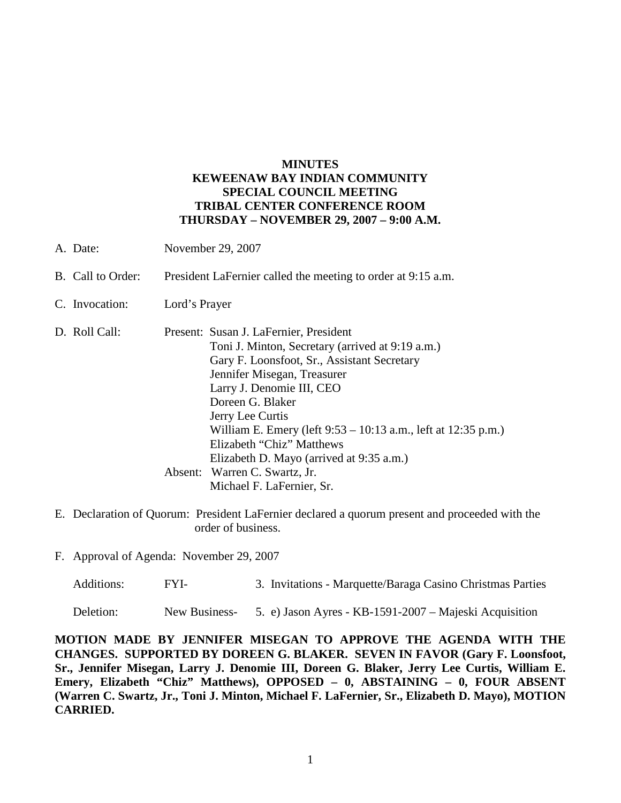## **MINUTES KEWEENAW BAY INDIAN COMMUNITY SPECIAL COUNCIL MEETING TRIBAL CENTER CONFERENCE ROOM THURSDAY – NOVEMBER 29, 2007 – 9:00 A.M.**

- A. Date: November 29, 2007 B. Call to Order: President LaFernier called the meeting to order at 9:15 a.m. C. Invocation: Lord's Prayer D. Roll Call: Present: Susan J. LaFernier, President Toni J. Minton, Secretary (arrived at 9:19 a.m.) Gary F. Loonsfoot, Sr., Assistant Secretary Jennifer Misegan, Treasurer Larry J. Denomie III, CEO Doreen G. Blaker Jerry Lee Curtis William E. Emery (left 9:53 – 10:13 a.m., left at 12:35 p.m.) Elizabeth "Chiz" Matthews Elizabeth D. Mayo (arrived at 9:35 a.m.) Absent: Warren C. Swartz, Jr. Michael F. LaFernier, Sr.
- E. Declaration of Quorum: President LaFernier declared a quorum present and proceeded with the order of business.
- F. Approval of Agenda: November 29, 2007

| Additions: | FYI- | 3. Invitations - Marquette/Baraga Casino Christmas Parties |
|------------|------|------------------------------------------------------------|
|------------|------|------------------------------------------------------------|

Deletion: New Business- 5. e) Jason Ayres - KB-1591-2007 – Majeski Acquisition

**MOTION MADE BY JENNIFER MISEGAN TO APPROVE THE AGENDA WITH THE CHANGES. SUPPORTED BY DOREEN G. BLAKER. SEVEN IN FAVOR (Gary F. Loonsfoot, Sr., Jennifer Misegan, Larry J. Denomie III, Doreen G. Blaker, Jerry Lee Curtis, William E. Emery, Elizabeth "Chiz" Matthews), OPPOSED – 0, ABSTAINING – 0, FOUR ABSENT (Warren C. Swartz, Jr., Toni J. Minton, Michael F. LaFernier, Sr., Elizabeth D. Mayo), MOTION CARRIED.**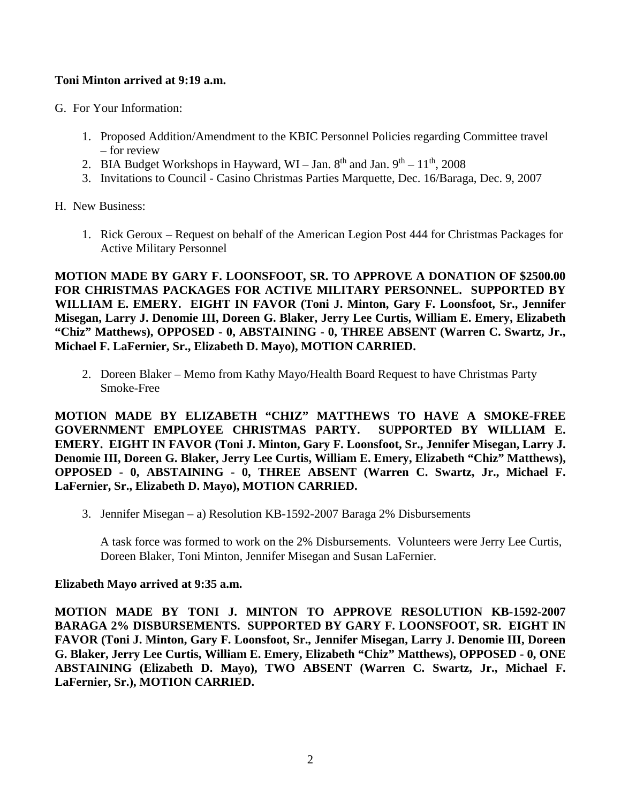## **Toni Minton arrived at 9:19 a.m.**

- G. For Your Information:
	- 1. Proposed Addition/Amendment to the KBIC Personnel Policies regarding Committee travel – for review
	- 2. BIA Budget Workshops in Hayward, WI Jan.  $8^{th}$  and Jan.  $9^{th}$   $11^{th}$ , 2008
	- 3. Invitations to Council Casino Christmas Parties Marquette, Dec. 16/Baraga, Dec. 9, 2007
- H. New Business:
	- 1. Rick Geroux Request on behalf of the American Legion Post 444 for Christmas Packages for Active Military Personnel

**MOTION MADE BY GARY F. LOONSFOOT, SR. TO APPROVE A DONATION OF \$2500.00 FOR CHRISTMAS PACKAGES FOR ACTIVE MILITARY PERSONNEL. SUPPORTED BY WILLIAM E. EMERY. EIGHT IN FAVOR (Toni J. Minton, Gary F. Loonsfoot, Sr., Jennifer Misegan, Larry J. Denomie III, Doreen G. Blaker, Jerry Lee Curtis, William E. Emery, Elizabeth "Chiz" Matthews), OPPOSED - 0, ABSTAINING - 0, THREE ABSENT (Warren C. Swartz, Jr., Michael F. LaFernier, Sr., Elizabeth D. Mayo), MOTION CARRIED.**

2. Doreen Blaker – Memo from Kathy Mayo/Health Board Request to have Christmas Party Smoke-Free

**MOTION MADE BY ELIZABETH "CHIZ" MATTHEWS TO HAVE A SMOKE-FREE GOVERNMENT EMPLOYEE CHRISTMAS PARTY. SUPPORTED BY WILLIAM E. EMERY. EIGHT IN FAVOR (Toni J. Minton, Gary F. Loonsfoot, Sr., Jennifer Misegan, Larry J. Denomie III, Doreen G. Blaker, Jerry Lee Curtis, William E. Emery, Elizabeth "Chiz" Matthews), OPPOSED - 0, ABSTAINING - 0, THREE ABSENT (Warren C. Swartz, Jr., Michael F. LaFernier, Sr., Elizabeth D. Mayo), MOTION CARRIED.**

3. Jennifer Misegan – a) Resolution KB-1592-2007 Baraga 2% Disbursements

A task force was formed to work on the 2% Disbursements. Volunteers were Jerry Lee Curtis, Doreen Blaker, Toni Minton, Jennifer Misegan and Susan LaFernier.

## **Elizabeth Mayo arrived at 9:35 a.m.**

**MOTION MADE BY TONI J. MINTON TO APPROVE RESOLUTION KB-1592-2007 BARAGA 2% DISBURSEMENTS. SUPPORTED BY GARY F. LOONSFOOT, SR. EIGHT IN FAVOR (Toni J. Minton, Gary F. Loonsfoot, Sr., Jennifer Misegan, Larry J. Denomie III, Doreen G. Blaker, Jerry Lee Curtis, William E. Emery, Elizabeth "Chiz" Matthews), OPPOSED - 0, ONE ABSTAINING (Elizabeth D. Mayo), TWO ABSENT (Warren C. Swartz, Jr., Michael F. LaFernier, Sr.), MOTION CARRIED.**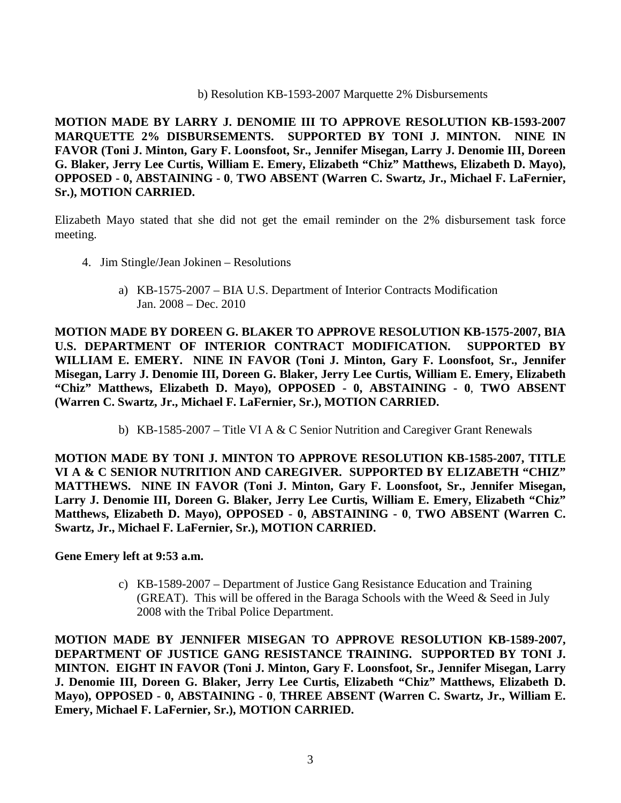b) Resolution KB-1593-2007 Marquette 2% Disbursements

**MOTION MADE BY LARRY J. DENOMIE III TO APPROVE RESOLUTION KB-1593-2007 MARQUETTE 2% DISBURSEMENTS. SUPPORTED BY TONI J. MINTON. NINE IN FAVOR (Toni J. Minton, Gary F. Loonsfoot, Sr., Jennifer Misegan, Larry J. Denomie III, Doreen G. Blaker, Jerry Lee Curtis, William E. Emery, Elizabeth "Chiz" Matthews, Elizabeth D. Mayo), OPPOSED - 0, ABSTAINING - 0**, **TWO ABSENT (Warren C. Swartz, Jr., Michael F. LaFernier, Sr.), MOTION CARRIED.**

Elizabeth Mayo stated that she did not get the email reminder on the 2% disbursement task force meeting.

- 4. Jim Stingle/Jean Jokinen Resolutions
	- a) KB-1575-2007 BIA U.S. Department of Interior Contracts Modification Jan. 2008 – Dec. 2010

**MOTION MADE BY DOREEN G. BLAKER TO APPROVE RESOLUTION KB-1575-2007, BIA U.S. DEPARTMENT OF INTERIOR CONTRACT MODIFICATION. SUPPORTED BY WILLIAM E. EMERY. NINE IN FAVOR (Toni J. Minton, Gary F. Loonsfoot, Sr., Jennifer Misegan, Larry J. Denomie III, Doreen G. Blaker, Jerry Lee Curtis, William E. Emery, Elizabeth "Chiz" Matthews, Elizabeth D. Mayo), OPPOSED - 0, ABSTAINING - 0**, **TWO ABSENT (Warren C. Swartz, Jr., Michael F. LaFernier, Sr.), MOTION CARRIED.**

b) KB-1585-2007 – Title VI A & C Senior Nutrition and Caregiver Grant Renewals

**MOTION MADE BY TONI J. MINTON TO APPROVE RESOLUTION KB-1585-2007, TITLE VI A & C SENIOR NUTRITION AND CAREGIVER. SUPPORTED BY ELIZABETH "CHIZ" MATTHEWS. NINE IN FAVOR (Toni J. Minton, Gary F. Loonsfoot, Sr., Jennifer Misegan, Larry J. Denomie III, Doreen G. Blaker, Jerry Lee Curtis, William E. Emery, Elizabeth "Chiz" Matthews, Elizabeth D. Mayo), OPPOSED - 0, ABSTAINING - 0**, **TWO ABSENT (Warren C. Swartz, Jr., Michael F. LaFernier, Sr.), MOTION CARRIED.**

**Gene Emery left at 9:53 a.m.**

c) KB-1589-2007 – Department of Justice Gang Resistance Education and Training (GREAT). This will be offered in the Baraga Schools with the Weed & Seed in July 2008 with the Tribal Police Department.

**MOTION MADE BY JENNIFER MISEGAN TO APPROVE RESOLUTION KB-1589-2007, DEPARTMENT OF JUSTICE GANG RESISTANCE TRAINING. SUPPORTED BY TONI J. MINTON. EIGHT IN FAVOR (Toni J. Minton, Gary F. Loonsfoot, Sr., Jennifer Misegan, Larry J. Denomie III, Doreen G. Blaker, Jerry Lee Curtis, Elizabeth "Chiz" Matthews, Elizabeth D. Mayo), OPPOSED - 0, ABSTAINING - 0**, **THREE ABSENT (Warren C. Swartz, Jr., William E. Emery, Michael F. LaFernier, Sr.), MOTION CARRIED.**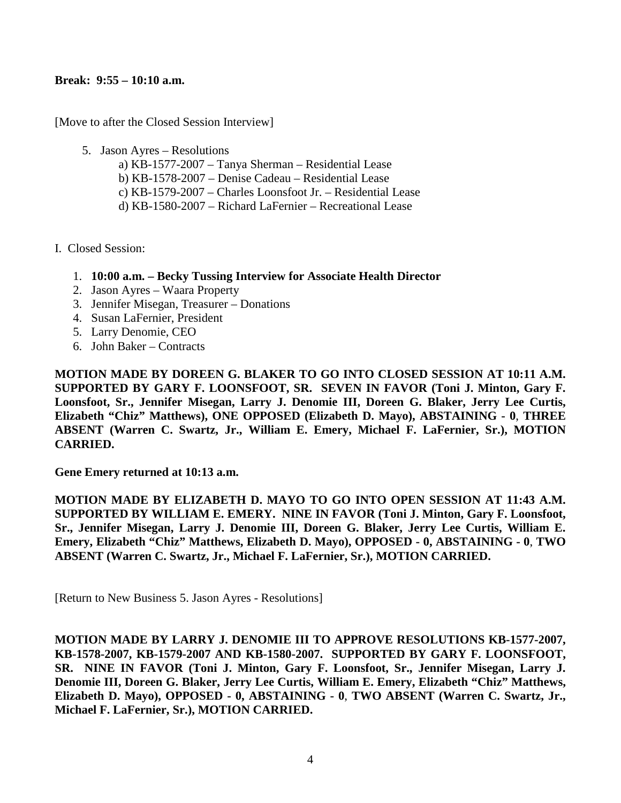## **Break: 9:55 – 10:10 a.m.**

[Move to after the Closed Session Interview]

- 5. Jason Ayres Resolutions
	- a) KB-1577-2007 Tanya Sherman Residential Lease
	- b) KB-1578-2007 Denise Cadeau Residential Lease
	- c) KB-1579-2007 Charles Loonsfoot Jr. Residential Lease
	- d) KB-1580-2007 Richard LaFernier Recreational Lease
- I. Closed Session:
	- 1. **10:00 a.m. – Becky Tussing Interview for Associate Health Director**
	- 2. Jason Ayres Waara Property
	- 3. Jennifer Misegan, Treasurer Donations
	- 4. Susan LaFernier, President
	- 5. Larry Denomie, CEO
	- 6. John Baker Contracts

**MOTION MADE BY DOREEN G. BLAKER TO GO INTO CLOSED SESSION AT 10:11 A.M. SUPPORTED BY GARY F. LOONSFOOT, SR. SEVEN IN FAVOR (Toni J. Minton, Gary F. Loonsfoot, Sr., Jennifer Misegan, Larry J. Denomie III, Doreen G. Blaker, Jerry Lee Curtis, Elizabeth "Chiz" Matthews), ONE OPPOSED (Elizabeth D. Mayo), ABSTAINING - 0**, **THREE ABSENT (Warren C. Swartz, Jr., William E. Emery, Michael F. LaFernier, Sr.), MOTION CARRIED.**

**Gene Emery returned at 10:13 a.m.**

**MOTION MADE BY ELIZABETH D. MAYO TO GO INTO OPEN SESSION AT 11:43 A.M. SUPPORTED BY WILLIAM E. EMERY. NINE IN FAVOR (Toni J. Minton, Gary F. Loonsfoot, Sr., Jennifer Misegan, Larry J. Denomie III, Doreen G. Blaker, Jerry Lee Curtis, William E. Emery, Elizabeth "Chiz" Matthews, Elizabeth D. Mayo), OPPOSED - 0, ABSTAINING - 0**, **TWO ABSENT (Warren C. Swartz, Jr., Michael F. LaFernier, Sr.), MOTION CARRIED.**

[Return to New Business 5. Jason Ayres - Resolutions]

**MOTION MADE BY LARRY J. DENOMIE III TO APPROVE RESOLUTIONS KB-1577-2007, KB-1578-2007, KB-1579-2007 AND KB-1580-2007. SUPPORTED BY GARY F. LOONSFOOT, SR. NINE IN FAVOR (Toni J. Minton, Gary F. Loonsfoot, Sr., Jennifer Misegan, Larry J. Denomie III, Doreen G. Blaker, Jerry Lee Curtis, William E. Emery, Elizabeth "Chiz" Matthews, Elizabeth D. Mayo), OPPOSED - 0, ABSTAINING - 0**, **TWO ABSENT (Warren C. Swartz, Jr., Michael F. LaFernier, Sr.), MOTION CARRIED.**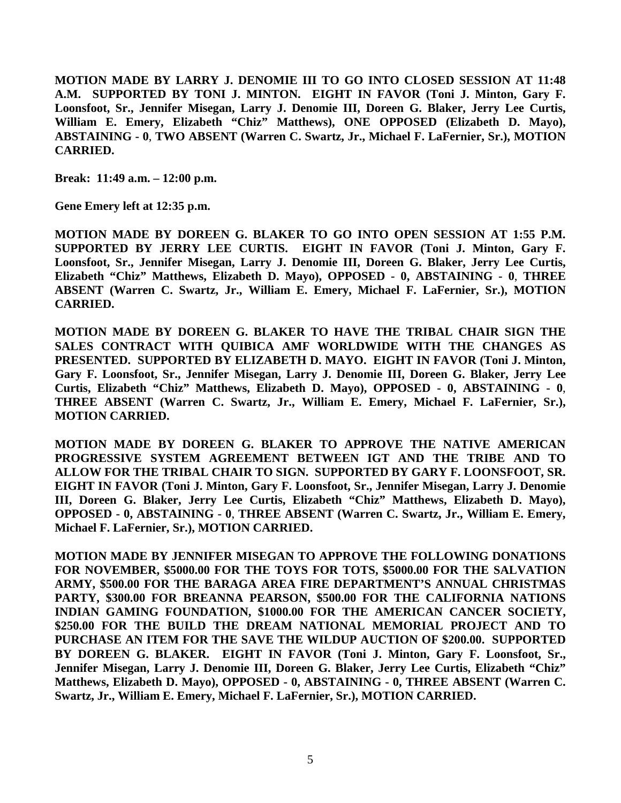**MOTION MADE BY LARRY J. DENOMIE III TO GO INTO CLOSED SESSION AT 11:48 A.M. SUPPORTED BY TONI J. MINTON. EIGHT IN FAVOR (Toni J. Minton, Gary F. Loonsfoot, Sr., Jennifer Misegan, Larry J. Denomie III, Doreen G. Blaker, Jerry Lee Curtis, William E. Emery, Elizabeth "Chiz" Matthews), ONE OPPOSED (Elizabeth D. Mayo), ABSTAINING - 0**, **TWO ABSENT (Warren C. Swartz, Jr., Michael F. LaFernier, Sr.), MOTION CARRIED.**

**Break: 11:49 a.m. – 12:00 p.m.**

**Gene Emery left at 12:35 p.m.**

**MOTION MADE BY DOREEN G. BLAKER TO GO INTO OPEN SESSION AT 1:55 P.M. SUPPORTED BY JERRY LEE CURTIS. EIGHT IN FAVOR (Toni J. Minton, Gary F. Loonsfoot, Sr., Jennifer Misegan, Larry J. Denomie III, Doreen G. Blaker, Jerry Lee Curtis, Elizabeth "Chiz" Matthews, Elizabeth D. Mayo), OPPOSED - 0, ABSTAINING - 0**, **THREE ABSENT (Warren C. Swartz, Jr., William E. Emery, Michael F. LaFernier, Sr.), MOTION CARRIED.**

**MOTION MADE BY DOREEN G. BLAKER TO HAVE THE TRIBAL CHAIR SIGN THE SALES CONTRACT WITH QUIBICA AMF WORLDWIDE WITH THE CHANGES AS PRESENTED. SUPPORTED BY ELIZABETH D. MAYO. EIGHT IN FAVOR (Toni J. Minton, Gary F. Loonsfoot, Sr., Jennifer Misegan, Larry J. Denomie III, Doreen G. Blaker, Jerry Lee Curtis, Elizabeth "Chiz" Matthews, Elizabeth D. Mayo), OPPOSED - 0, ABSTAINING - 0**, **THREE ABSENT (Warren C. Swartz, Jr., William E. Emery, Michael F. LaFernier, Sr.), MOTION CARRIED.**

**MOTION MADE BY DOREEN G. BLAKER TO APPROVE THE NATIVE AMERICAN PROGRESSIVE SYSTEM AGREEMENT BETWEEN IGT AND THE TRIBE AND TO ALLOW FOR THE TRIBAL CHAIR TO SIGN. SUPPORTED BY GARY F. LOONSFOOT, SR. EIGHT IN FAVOR (Toni J. Minton, Gary F. Loonsfoot, Sr., Jennifer Misegan, Larry J. Denomie III, Doreen G. Blaker, Jerry Lee Curtis, Elizabeth "Chiz" Matthews, Elizabeth D. Mayo), OPPOSED - 0, ABSTAINING - 0**, **THREE ABSENT (Warren C. Swartz, Jr., William E. Emery, Michael F. LaFernier, Sr.), MOTION CARRIED.**

**MOTION MADE BY JENNIFER MISEGAN TO APPROVE THE FOLLOWING DONATIONS FOR NOVEMBER, \$5000.00 FOR THE TOYS FOR TOTS, \$5000.00 FOR THE SALVATION ARMY, \$500.00 FOR THE BARAGA AREA FIRE DEPARTMENT'S ANNUAL CHRISTMAS PARTY, \$300.00 FOR BREANNA PEARSON, \$500.00 FOR THE CALIFORNIA NATIONS INDIAN GAMING FOUNDATION, \$1000.00 FOR THE AMERICAN CANCER SOCIETY, \$250.00 FOR THE BUILD THE DREAM NATIONAL MEMORIAL PROJECT AND TO PURCHASE AN ITEM FOR THE SAVE THE WILDUP AUCTION OF \$200.00. SUPPORTED BY DOREEN G. BLAKER. EIGHT IN FAVOR (Toni J. Minton, Gary F. Loonsfoot, Sr., Jennifer Misegan, Larry J. Denomie III, Doreen G. Blaker, Jerry Lee Curtis, Elizabeth "Chiz" Matthews, Elizabeth D. Mayo), OPPOSED - 0, ABSTAINING - 0, THREE ABSENT (Warren C. Swartz, Jr., William E. Emery, Michael F. LaFernier, Sr.), MOTION CARRIED.**